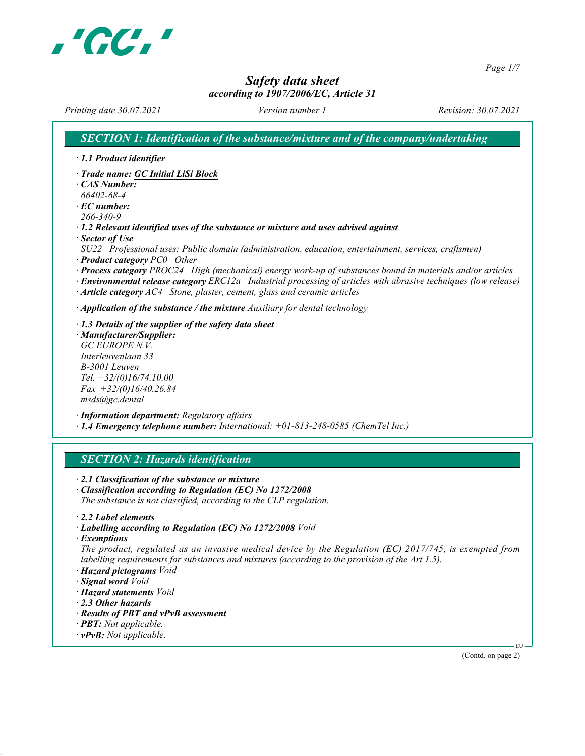

Page 1/7

# Safety data sheet

# according to 1907/2006/EC, Article 31

Printing date 30.07.2021 Version number 1 Revision: 30.07.2021

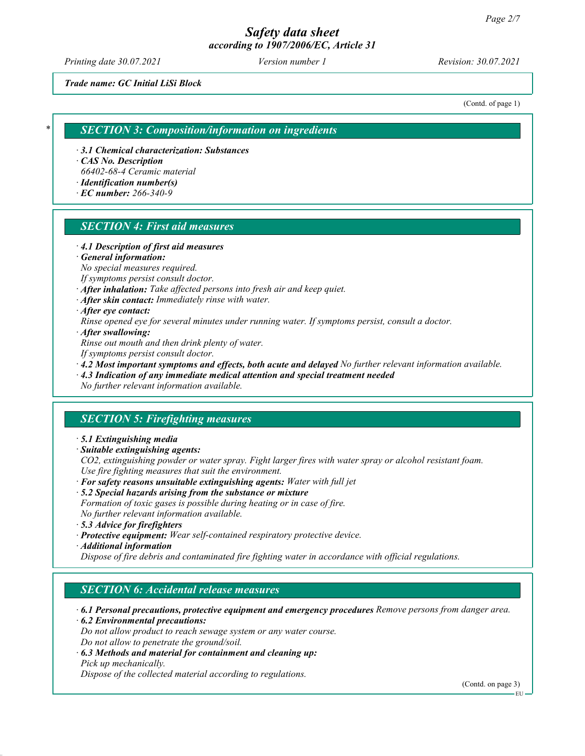Printing date 30.07.2021 Version number 1 Revision: 30.07.2021

Trade name: GC Initial LiSi Block

(Contd. of page 1)

#### **SECTION 3: Composition/information on ingredients**

· 3.1 Chemical characterization: Substances

· CAS No. Description

66402-68-4 Ceramic material

- · Identification number(s)
- · EC number: 266-340-9

## SECTION 4: First aid measures

· 4.1 Description of first aid measures

#### · General information:

No special measures required.

If symptoms persist consult doctor.

- · After inhalation: Take affected persons into fresh air and keep quiet.
- · After skin contact: Immediately rinse with water.

· After eye contact:

Rinse opened eye for several minutes under running water. If symptoms persist, consult a doctor.

· After swallowing:

Rinse out mouth and then drink plenty of water.

If symptoms persist consult doctor.

 $\cdot$  4.2 Most important symptoms and effects, both acute and delayed No further relevant information available.

· 4.3 Indication of any immediate medical attention and special treatment needed

No further relevant information available.

## SECTION 5: Firefighting measures

· 5.1 Extinguishing media

· Suitable extinguishing agents:

CO2, extinguishing powder or water spray. Fight larger fires with water spray or alcohol resistant foam. Use fire fighting measures that suit the environment.

- $\cdot$  For safety reasons unsuitable extinguishing agents: Water with full jet
- · 5.2 Special hazards arising from the substance or mixture

Formation of toxic gases is possible during heating or in case of fire. No further relevant information available.

- · 5.3 Advice for firefighters
- · Protective equipment: Wear self-contained respiratory protective device.
- · Additional information

Dispose of fire debris and contaminated fire fighting water in accordance with official regulations.

#### SECTION 6: Accidental release measures

· 6.1 Personal precautions, protective equipment and emergency procedures Remove persons from danger area.

· 6.2 Environmental precautions:

Do not allow product to reach sewage system or any water course. Do not allow to penetrate the ground/soil.

· 6.3 Methods and material for containment and cleaning up: Pick up mechanically.

Dispose of the collected material according to regulations.

(Contd. on page 3)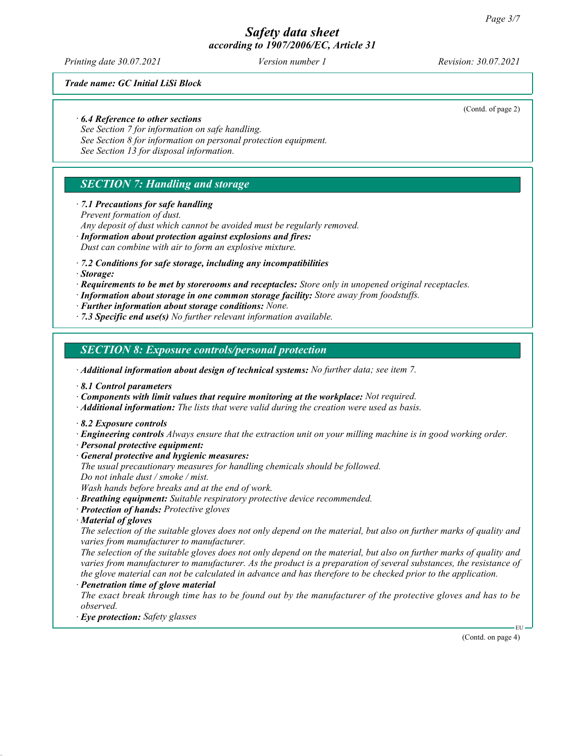Printing date 30.07.2021 Version number 1 Revision: 30.07.2021

Trade name: GC Initial LiSi Block

· 6.4 Reference to other sections

See Section 7 for information on safe handling.

See Section 8 for information on personal protection equipment.

See Section 13 for disposal information.

# SECTION 7: Handling and storage

#### · 7.1 Precautions for safe handling

Prevent formation of dust.

Any deposit of dust which cannot be avoided must be regularly removed.

· Information about protection against explosions and fires:

Dust can combine with air to form an explosive mixture.

· 7.2 Conditions for safe storage, including any incompatibilities

· Storage:

· Requirements to be met by storerooms and receptacles: Store only in unopened original receptacles.

· Information about storage in one common storage facility: Store away from foodstuffs.

· Further information about storage conditions: None.

 $\cdot$  7.3 Specific end use(s) No further relevant information available.

SECTION 8: Exposure controls/personal protection

· Additional information about design of technical systems: No further data; see item 7.

· 8.1 Control parameters

· Components with limit values that require monitoring at the workplace: Not required.

 $\cdot$  **Additional information:** The lists that were valid during the creation were used as basis.

· 8.2 Exposure controls

· Engineering controls Always ensure that the extraction unit on your milling machine is in good working order.

· Personal protective equipment:

· General protective and hygienic measures:

The usual precautionary measures for handling chemicals should be followed.

Do not inhale dust / smoke / mist.

Wash hands before breaks and at the end of work.

· Breathing equipment: Suitable respiratory protective device recommended.

· Protection of hands: Protective gloves

· Material of gloves

The selection of the suitable gloves does not only depend on the material, but also on further marks of quality and varies from manufacturer to manufacturer.

The selection of the suitable gloves does not only depend on the material, but also on further marks of quality and varies from manufacturer to manufacturer. As the product is a preparation of several substances, the resistance of the glove material can not be calculated in advance and has therefore to be checked prior to the application.

Penetration time of glove material

The exact break through time has to be found out by the manufacturer of the protective gloves and has to be observed.

· Eye protection: Safety glasses

(Contd. on page 4)

EU

(Contd. of page 2)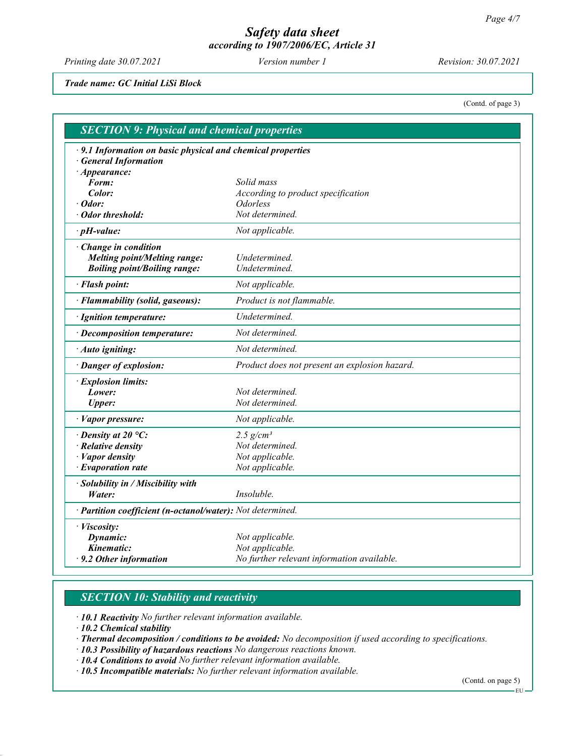Printing date 30.07.2021 Version number 1 Revision: 30.07.2021

Trade name: GC Initial LiSi Block

(Contd. of page 3)

| <b>SECTION 9: Physical and chemical properties</b>          |                                               |  |  |  |
|-------------------------------------------------------------|-----------------------------------------------|--|--|--|
| · 9.1 Information on basic physical and chemical properties |                                               |  |  |  |
| · General Information                                       |                                               |  |  |  |
| $\cdot$ Appearance:                                         |                                               |  |  |  |
| Form:                                                       | Solid mass                                    |  |  |  |
| Color:                                                      | According to product specification            |  |  |  |
| $\cdot$ Odor:                                               | <b>Odorless</b>                               |  |  |  |
| · Odor threshold:                                           | Not determined.                               |  |  |  |
| $\cdot$ pH-value:                                           | Not applicable.                               |  |  |  |
| $\cdot$ Change in condition                                 |                                               |  |  |  |
| <b>Melting point/Melting range:</b>                         | Undetermined.                                 |  |  |  |
| <b>Boiling point/Boiling range:</b>                         | Undetermined.                                 |  |  |  |
| · Flash point:                                              | Not applicable.                               |  |  |  |
| · Flammability (solid, gaseous):                            | Product is not flammable.                     |  |  |  |
| · Ignition temperature:                                     | Undetermined.                                 |  |  |  |
| $\cdot$ Decomposition temperature:                          | Not determined.                               |  |  |  |
| · Auto igniting:                                            | Not determined.                               |  |  |  |
| · Danger of explosion:                                      | Product does not present an explosion hazard. |  |  |  |
| · Explosion limits:                                         |                                               |  |  |  |
| Lower:                                                      | Not determined.                               |  |  |  |
| <b>Upper:</b>                                               | Not determined.                               |  |  |  |
| · Vapor pressure:                                           | Not applicable.                               |  |  |  |
| $\cdot$ Density at 20 °C:                                   | 2.5 $g/cm^3$                                  |  |  |  |
| $\cdot$ Relative density                                    | Not determined.                               |  |  |  |
| $\cdot$ <i>Vapor density</i>                                | Not applicable.                               |  |  |  |
| $\cdot$ Evaporation rate                                    | Not applicable.                               |  |  |  |
| · Solubility in / Miscibility with                          |                                               |  |  |  |
| Water:                                                      | <i>Insoluble.</i>                             |  |  |  |
| · Partition coefficient (n-octanol/water): Not determined.  |                                               |  |  |  |
| · Viscosity:                                                |                                               |  |  |  |
| Dynamic:                                                    | Not applicable.                               |  |  |  |
| Kinematic:                                                  | Not applicable.                               |  |  |  |
| $\cdot$ 9.2 Other information                               | No further relevant information available.    |  |  |  |

# **SECTION 10: Stability and reactivity**

· 10.1 Reactivity No further relevant information available.

· 10.2 Chemical stability

· Thermal decomposition / conditions to be avoided: No decomposition if used according to specifications.

· 10.3 Possibility of hazardous reactions No dangerous reactions known.

· 10.4 Conditions to avoid No further relevant information available.

· 10.5 Incompatible materials: No further relevant information available.

(Contd. on page 5)

EU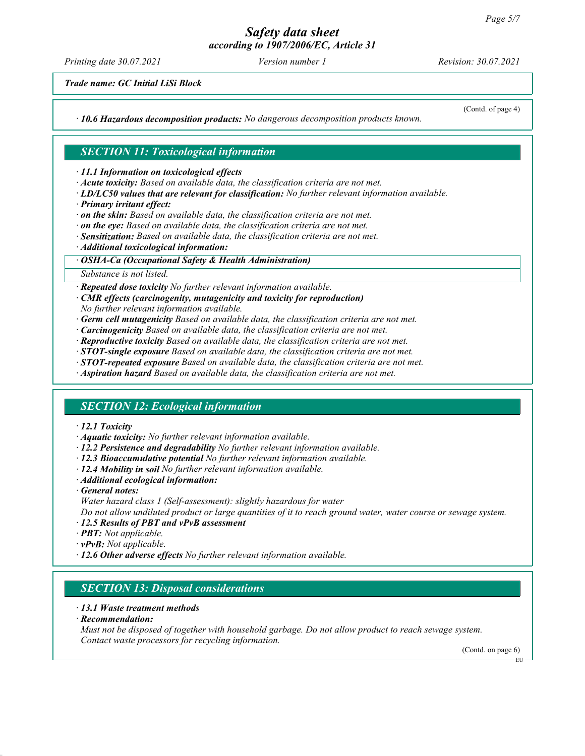Printing date 30.07.2021 Version number 1 Revision: 30.07.2021

Trade name: GC Initial LiSi Block

 $\cdot$  10.6 Hazardous decomposition products: No dangerous decomposition products known.

(Contd. of page 4)

# SECTION 11: Toxicological information

· 11.1 Information on toxicological effects

- · Acute toxicity: Based on available data, the classification criteria are not met.
- · LD/LC50 values that are relevant for classification: No further relevant information available.
- · Primary irritant effect:
- · on the skin: Based on available data, the classification criteria are not met.
- $\cdot$  on the eye: Based on available data, the classification criteria are not met.
- · Sensitization: Based on available data, the classification criteria are not met.
- · Additional toxicological information:

#### · OSHA-Ca (Occupational Safety & Health Administration)

#### Substance is not listed.

· Repeated dose toxicity No further relevant information available.

- · CMR effects (carcinogenity, mutagenicity and toxicity for reproduction)
- No further relevant information available.
- $\cdot$  Germ cell mutagenicity Based on available data, the classification criteria are not met.
- $\cdot$  **Carcinogenicity** Based on available data, the classification criteria are not met.
- · Reproductive toxicity Based on available data, the classification criteria are not met.
- $\cdot$  STOT-single exposure Based on available data, the classification criteria are not met.
- $\cdot$  **STOT-repeated exposure** Based on available data, the classification criteria are not met.
- · Aspiration hazard Based on available data, the classification criteria are not met.

## SECTION 12: Ecological information

#### · 12.1 Toxicity

- · Aquatic toxicity: No further relevant information available.
- · 12.2 Persistence and degradability No further relevant information available.
- · 12.3 Bioaccumulative potential No further relevant information available.
- $\cdot$  12.4 Mobility in soil No further relevant information available.
- · Additional ecological information:
- · General notes:
- Water hazard class 1 (Self-assessment): slightly hazardous for water

Do not allow undiluted product or large quantities of it to reach ground water, water course or sewage system.

- · 12.5 Results of PBT and vPvB assessment
- · **PBT:** Not applicable.
- $\cdot$  **vPvB:** Not applicable.
- · 12.6 Other adverse effects No further relevant information available.

## SECTION 13: Disposal considerations

#### · 13.1 Waste treatment methods

· Recommendation:

Must not be disposed of together with household garbage. Do not allow product to reach sewage system. Contact waste processors for recycling information.

(Contd. on page 6)

EU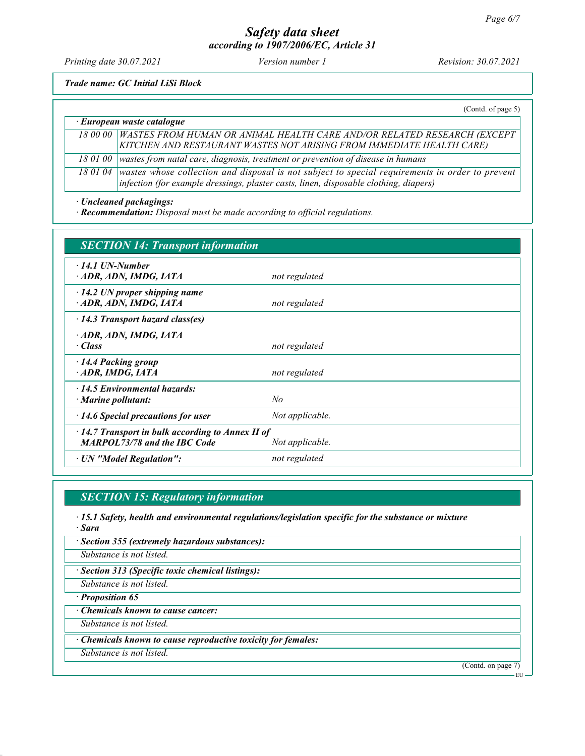Printing date 30.07.2021 Version number 1 Revision: 30.07.2021

Trade name: GC Initial LiSi Block

|                                  | (Cond. of page 5)                                                                                                                                                                                 |  |
|----------------------------------|---------------------------------------------------------------------------------------------------------------------------------------------------------------------------------------------------|--|
| $\cdot$ European waste catalogue |                                                                                                                                                                                                   |  |
|                                  | 18 00 00   WASTES FROM HUMAN OR ANIMAL HEALTH CARE AND/OR RELATED RESEARCH (EXCEPT<br>KITCHEN AND RESTAURANT WASTES NOT ARISING FROM IMMEDIATE HEALTH CARE)                                       |  |
| 18 01 00                         | wastes from natal care, diagnosis, treatment or prevention of disease in humans                                                                                                                   |  |
|                                  | 18 01 04 wastes whose collection and disposal is not subject to special requirements in order to prevent<br>infection (for example dressings, plaster casts, linen, disposable clothing, diapers) |  |

· Uncleaned packagings:

· Recommendation: Disposal must be made according to official regulations.

| <b>SECTION 14: Transport information</b>                                                       |                 |
|------------------------------------------------------------------------------------------------|-----------------|
| $\cdot$ 14.1 UN-Number<br>ADR, ADN, IMDG, IATA                                                 | not regulated   |
| $\cdot$ 14.2 UN proper shipping name<br>ADR, ADN, IMDG, IATA                                   | not regulated   |
| $\cdot$ 14.3 Transport hazard class(es)                                                        |                 |
| · ADR, ADN, IMDG, IATA<br>· Class                                                              | not regulated   |
| 14.4 Packing group<br>ADR, IMDG, IATA                                                          | not regulated   |
| $\cdot$ 14.5 Environmental hazards:<br>$\cdot$ Marine pollutant:                               | No              |
| $\cdot$ 14.6 Special precautions for user                                                      | Not applicable. |
| $\cdot$ 14.7 Transport in bulk according to Annex II of<br><b>MARPOL73/78 and the IBC Code</b> | Not applicable. |
| · UN "Model Regulation":                                                                       | not regulated   |

# SECTION 15: Regulatory information

- · 15.1 Safety, health and environmental regulations/legislation specific for the substance or mixture · Sara
- · Section 355 (extremely hazardous substances):
- Substance is not listed.
- · Section 313 (Specific toxic chemical listings):
- Substance is not listed.

· Proposition 65

· Chemicals known to cause cancer:

Substance is not listed.

· Chemicals known to cause reproductive toxicity for females:

Substance is not listed.

(Contd. on page 7)

EU